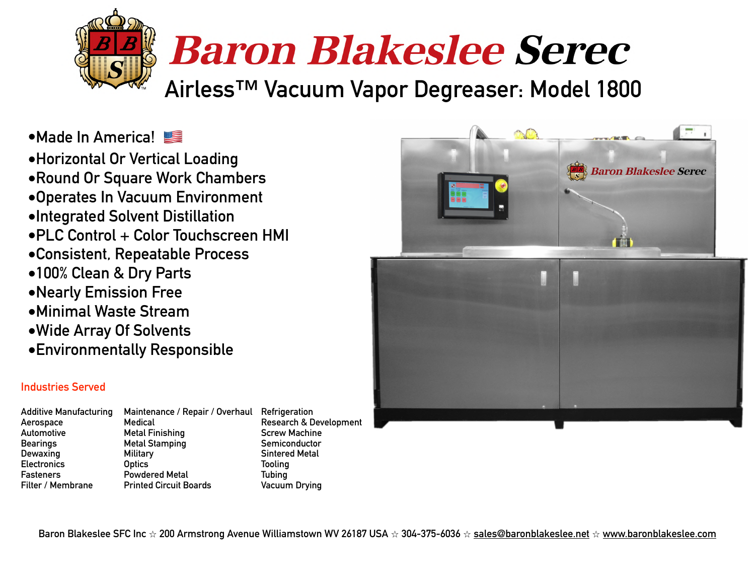

**•Made In America!** 

**•Horizontal Or Vertical Loading •Round Or Square Work Chambers •Operates In Vacuum Environment •Integrated Solvent Distillation •PLC Control + Color Touchscreen HMI •Consistent, Repeatable Process •100% Clean & Dry Parts •Nearly Emission Free •Minimal Waste Stream •Wide Array Of Solvents •Environmentally Responsible**



## **Industries Served**

- **Additive Manufacturing Maintenance / Repair / Overhaul Refrigeration**
- **Aerospace Medical Research & Development**  Automotive **Metal Finishing Metal Finishing** Screw Machine **Bearings Metal Stamping Semiconductor Constraining Semiconductor Dewaxing Military Sintered Metal Electronics Optics Tooling Fasteners Powdered Metal Tubing Filter / Membrane Printed Circuit Boards Vacuum Drying**

**Baron Blakeslee SFC Inc** ⭐ **200 Armstrong Avenue Williamstown WV 26187 USA** ⭐ **304-375-6036** ⭐ **[sales@baronblakeslee.net](mailto:sales@baronblakeslee.net)** ⭐ **[www.baronblakeslee.com](http://www.baronblakeslee.com)**